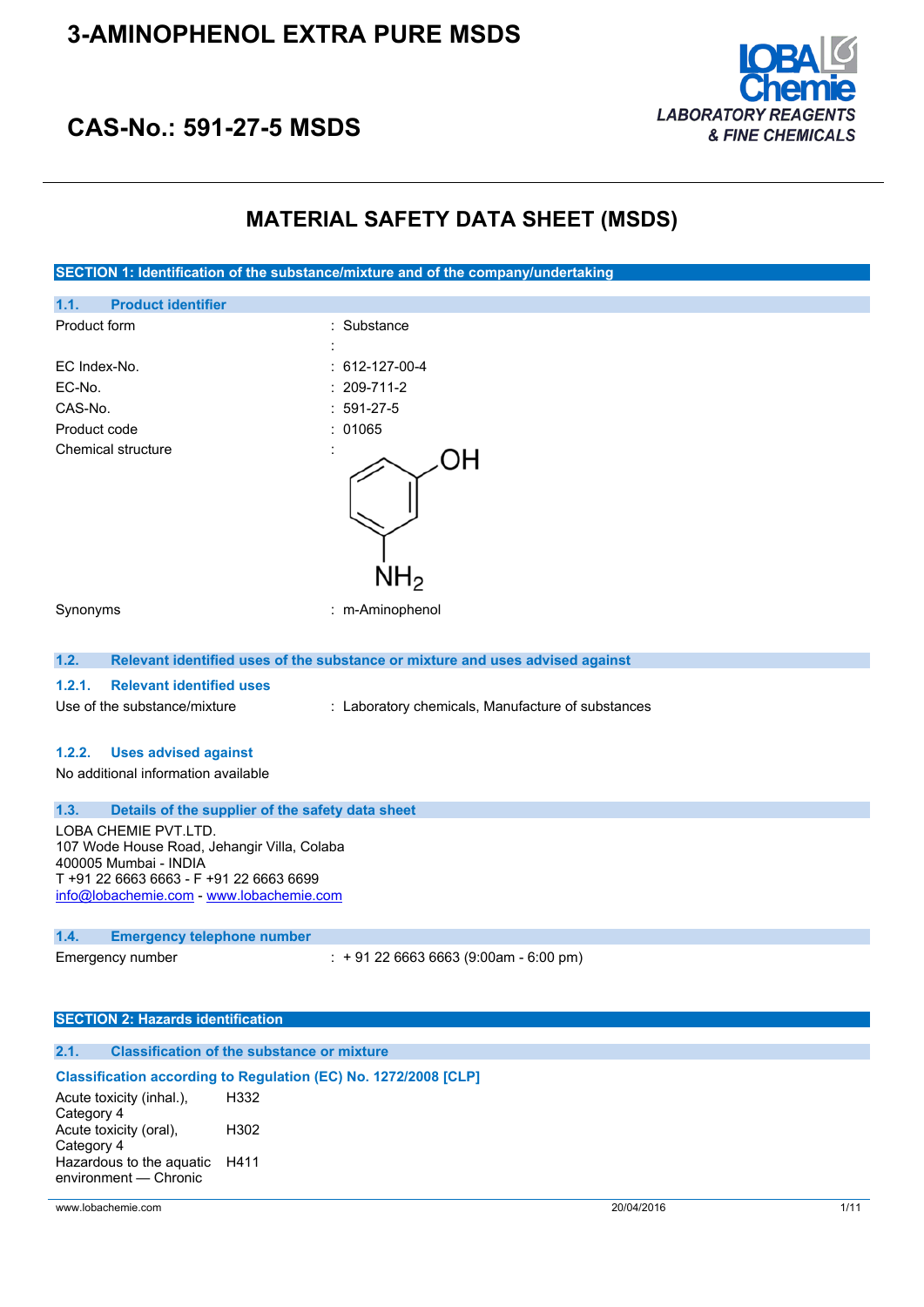

# **CAS-No.: 591-27-5 MSDS**

# **MATERIAL SAFETY DATA SHEET (MSDS)**

**SECTION 1: Identification of the substance/mixture and of the company/undertaking 1.1. Product identifier** Product form : Substance : Substance : EC Index-No. : 612-127-00-4 EC-No. : 209-711-2 CAS-No. : 591-27-5 Product code : 01065 Chemical structure ΟH NH2 Synonyms : m-Aminophenol **1.2. Relevant identified uses of the substance or mixture and uses advised against 1.2.1. Relevant identified uses** Use of the substance/mixture : Laboratory chemicals, Manufacture of substances **1.2.2. Uses advised against** No additional information available **1.3. Details of the supplier of the safety data sheet** LOBA CHEMIE PVT.LTD. 107 Wode House Road, Jehangir Villa, Colaba 400005 Mumbai - INDIA T +91 22 6663 6663 - F +91 22 6663 6699 [info@lobachemie.com](mailto:info@lobachemie.com) - <www.lobachemie.com> **1.4. Emergency telephone number** Emergency number : + 91 22 6663 6663 (9:00am - 6:00 pm)

#### **SECTION 2: Hazards identification**

### **2.1. Classification of the substance or mixture**

**Classification according to Regulation (EC) No. 1272/2008 [CLP]** Acute toxicity (inhal.), Category 4 H332 Acute toxicity (oral), Category 4 H302 Hazardous to the aquatic H411environment — Chronic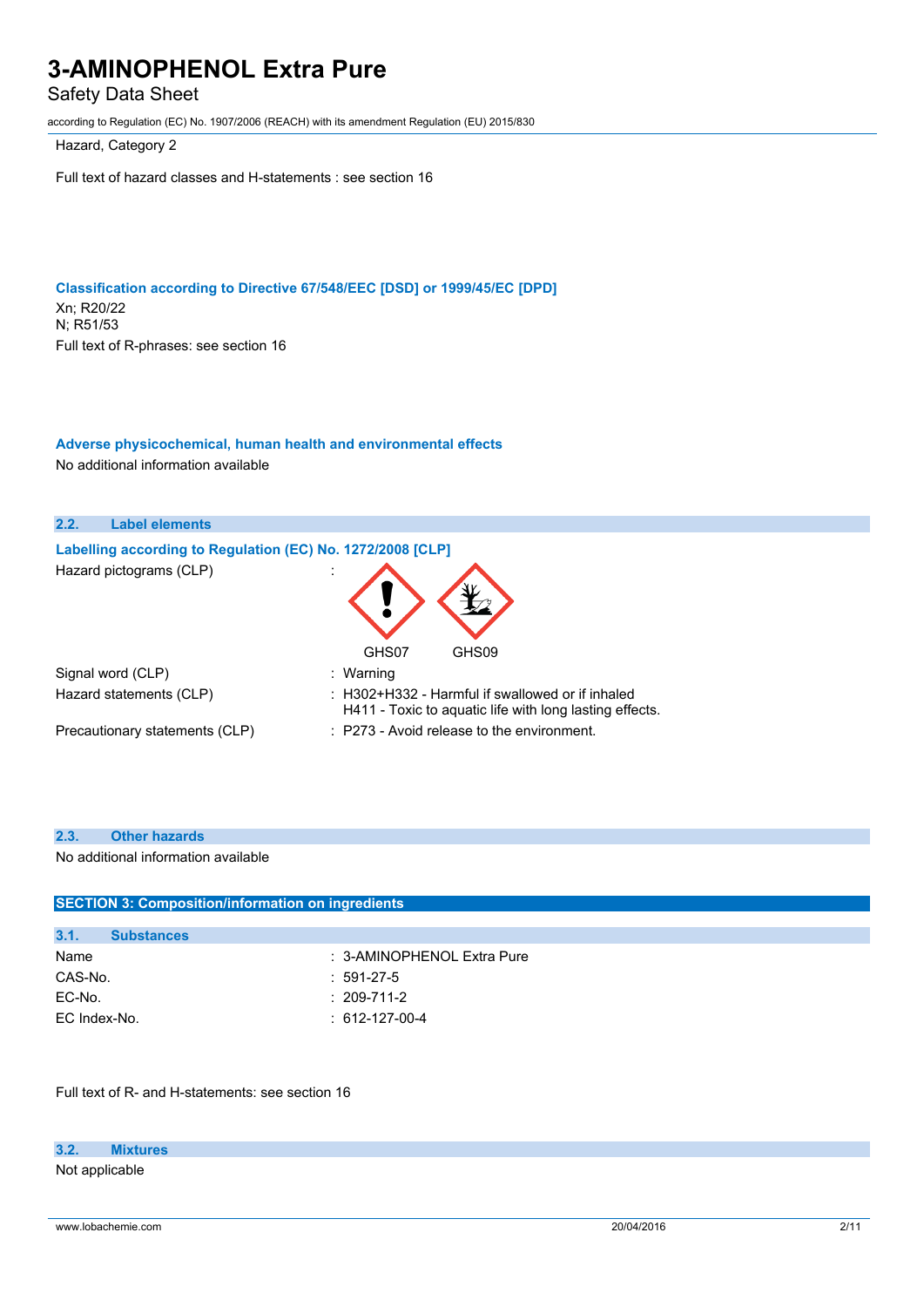### Safety Data Sheet

according to Regulation (EC) No. 1907/2006 (REACH) with its amendment Regulation (EU) 2015/830

Hazard, Category 2

Full text of hazard classes and H-statements : see section 16

**Classification according to Directive 67/548/EEC [DSD] or 1999/45/EC [DPD]** Xn; R20/22 N; R51/53 Full text of R-phrases: see section 16

### **Adverse physicochemical, human health and environmental effects**

No additional information available



#### **2.3. Other hazards**

No additional information available

| <b>SECTION 3: Composition/information on ingredients</b> |                                   |  |
|----------------------------------------------------------|-----------------------------------|--|
|                                                          |                                   |  |
|                                                          |                                   |  |
|                                                          | : 3-AMINOPHENOL Extra Pure        |  |
|                                                          | $:591-27-5$                       |  |
|                                                          | $: 209 - 711 - 2$                 |  |
|                                                          | $: 612 - 127 - 00 - 4$            |  |
|                                                          | <b>Substances</b><br>EC Index-No. |  |

Full text of R- and H-statements: see section 16

#### **3.2. Mixtures**

Not applicable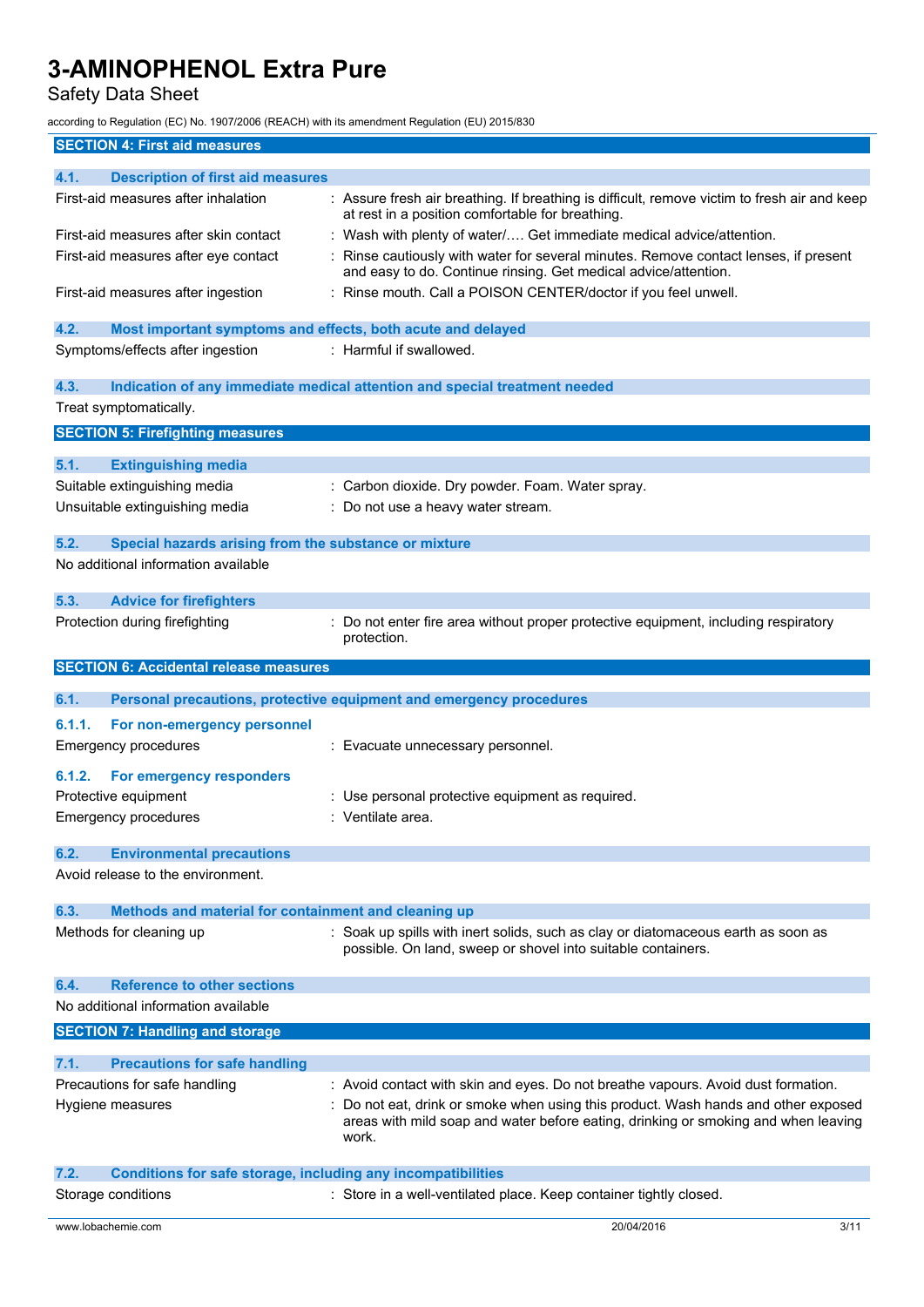## Safety Data Sheet

according to Regulation (EC) No. 1907/2006 (REACH) with its amendment Regulation (EU) 2015/830

| <b>SECTION 4: First aid measures</b>                                        |                                                                                                                                                                                                                                                                        |
|-----------------------------------------------------------------------------|------------------------------------------------------------------------------------------------------------------------------------------------------------------------------------------------------------------------------------------------------------------------|
| 4.1.<br><b>Description of first aid measures</b>                            |                                                                                                                                                                                                                                                                        |
| First-aid measures after inhalation                                         | : Assure fresh air breathing. If breathing is difficult, remove victim to fresh air and keep<br>at rest in a position comfortable for breathing.                                                                                                                       |
| First-aid measures after skin contact                                       | : Wash with plenty of water/ Get immediate medical advice/attention.                                                                                                                                                                                                   |
| First-aid measures after eye contact                                        | Rinse cautiously with water for several minutes. Remove contact lenses, if present<br>and easy to do. Continue rinsing. Get medical advice/attention.                                                                                                                  |
| First-aid measures after ingestion                                          | : Rinse mouth. Call a POISON CENTER/doctor if you feel unwell.                                                                                                                                                                                                         |
| 4.2.<br>Most important symptoms and effects, both acute and delayed         |                                                                                                                                                                                                                                                                        |
| Symptoms/effects after ingestion                                            | : Harmful if swallowed.                                                                                                                                                                                                                                                |
| 4.3.                                                                        | Indication of any immediate medical attention and special treatment needed                                                                                                                                                                                             |
| Treat symptomatically.                                                      |                                                                                                                                                                                                                                                                        |
| <b>SECTION 5: Firefighting measures</b>                                     |                                                                                                                                                                                                                                                                        |
| 5.1.<br><b>Extinguishing media</b>                                          |                                                                                                                                                                                                                                                                        |
| Suitable extinguishing media                                                | : Carbon dioxide. Dry powder. Foam. Water spray.                                                                                                                                                                                                                       |
| Unsuitable extinguishing media                                              | : Do not use a heavy water stream.                                                                                                                                                                                                                                     |
| 5.2.<br>Special hazards arising from the substance or mixture               |                                                                                                                                                                                                                                                                        |
| No additional information available                                         |                                                                                                                                                                                                                                                                        |
| 5.3.<br><b>Advice for firefighters</b>                                      |                                                                                                                                                                                                                                                                        |
| Protection during firefighting                                              | : Do not enter fire area without proper protective equipment, including respiratory<br>protection.                                                                                                                                                                     |
| <b>SECTION 6: Accidental release measures</b>                               |                                                                                                                                                                                                                                                                        |
|                                                                             |                                                                                                                                                                                                                                                                        |
|                                                                             |                                                                                                                                                                                                                                                                        |
| 6.1.                                                                        | Personal precautions, protective equipment and emergency procedures                                                                                                                                                                                                    |
| 6.1.1.<br>For non-emergency personnel<br><b>Emergency procedures</b>        | : Evacuate unnecessary personnel.                                                                                                                                                                                                                                      |
| 6.1.2.<br>For emergency responders                                          |                                                                                                                                                                                                                                                                        |
| Protective equipment                                                        | : Use personal protective equipment as required.                                                                                                                                                                                                                       |
| <b>Emergency procedures</b>                                                 | : Ventilate area.                                                                                                                                                                                                                                                      |
| <b>Environmental precautions</b><br>6.2.                                    |                                                                                                                                                                                                                                                                        |
| Avoid release to the environment.                                           |                                                                                                                                                                                                                                                                        |
| Methods and material for containment and cleaning up<br>6.3.                |                                                                                                                                                                                                                                                                        |
| Methods for cleaning up                                                     | : Soak up spills with inert solids, such as clay or diatomaceous earth as soon as<br>possible. On land, sweep or shovel into suitable containers.                                                                                                                      |
| <b>Reference to other sections</b><br>6.4.                                  |                                                                                                                                                                                                                                                                        |
| No additional information available                                         |                                                                                                                                                                                                                                                                        |
| <b>SECTION 7: Handling and storage</b>                                      |                                                                                                                                                                                                                                                                        |
|                                                                             |                                                                                                                                                                                                                                                                        |
| 7.1.<br><b>Precautions for safe handling</b>                                |                                                                                                                                                                                                                                                                        |
| Precautions for safe handling<br>Hygiene measures                           | : Avoid contact with skin and eyes. Do not breathe vapours. Avoid dust formation.<br>: Do not eat, drink or smoke when using this product. Wash hands and other exposed<br>areas with mild soap and water before eating, drinking or smoking and when leaving<br>work. |
| 7.2.<br><b>Conditions for safe storage, including any incompatibilities</b> |                                                                                                                                                                                                                                                                        |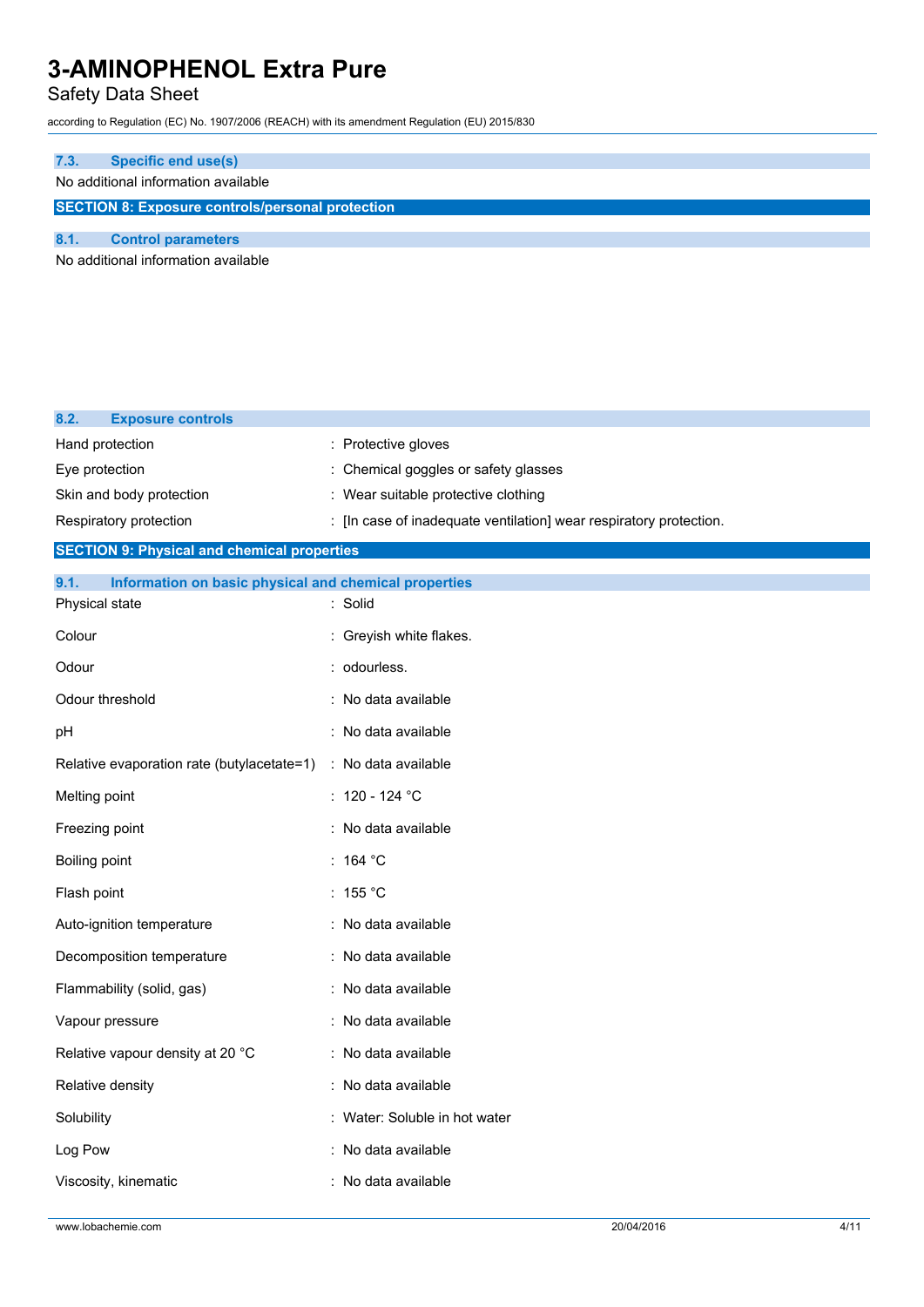### Safety Data Sheet

according to Regulation (EC) No. 1907/2006 (REACH) with its amendment Regulation (EU) 2015/830

# **7.3. Specific end use(s)** No additional information available **SECTION 8: Exposure controls/personal protection 8.1. Control parameters**

No additional information available

| 8.2.<br><b>Exposure controls</b>                              |                                                                    |
|---------------------------------------------------------------|--------------------------------------------------------------------|
| Hand protection                                               | : Protective gloves                                                |
| Eye protection                                                | : Chemical goggles or safety glasses                               |
| Skin and body protection                                      | : Wear suitable protective clothing                                |
| Respiratory protection                                        | : [In case of inadequate ventilation] wear respiratory protection. |
| <b>SECTION 9: Physical and chemical properties</b>            |                                                                    |
| 9.1.<br>Information on basic physical and chemical properties |                                                                    |
| Physical state                                                | : Solid                                                            |
| Colour                                                        | : Greyish white flakes.                                            |
| Odour                                                         | : odourless.                                                       |
| Odour threshold                                               | : No data available                                                |
| pH                                                            | : No data available                                                |
| Relative evaporation rate (butylacetate=1)                    | : No data available                                                |
| Melting point                                                 | : 120 - 124 $^{\circ}$ C                                           |
| Freezing point                                                | : No data available                                                |
| Boiling point                                                 | : 164 °C                                                           |
| Flash point                                                   | $:~155\text{ }^{\circ}\text{C}$                                    |
| Auto-ignition temperature                                     | : No data available                                                |
| Decomposition temperature                                     | : No data available                                                |
| Flammability (solid, gas)                                     | : No data available                                                |
| Vapour pressure                                               | : No data available                                                |
| Relative vapour density at 20 °C                              | : No data available                                                |
| Relative density                                              | : No data available                                                |
| Solubility                                                    | : Water: Soluble in hot water                                      |
| Log Pow                                                       | : No data available                                                |
| Viscosity, kinematic                                          | : No data available                                                |
|                                                               |                                                                    |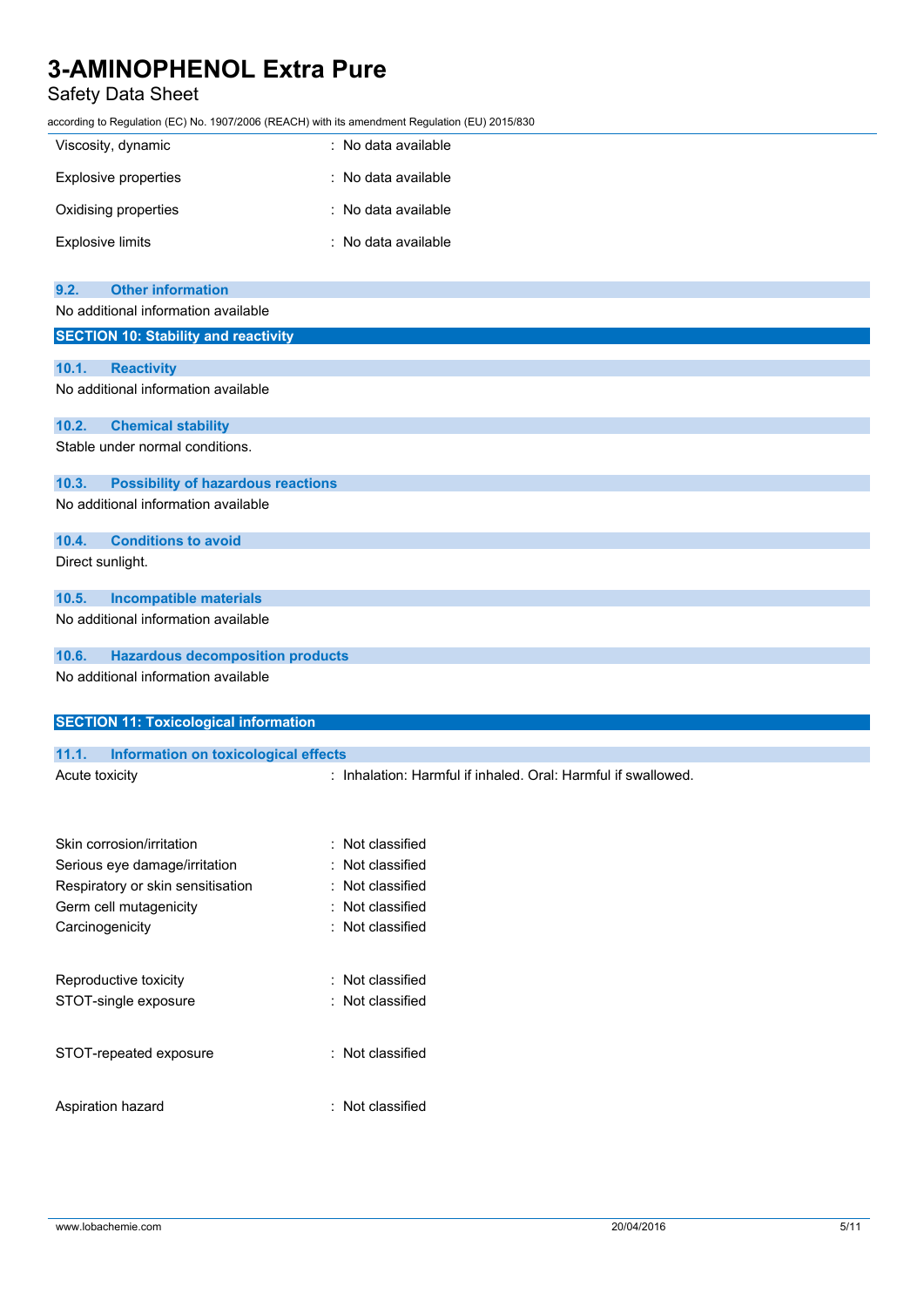### Safety Data Sheet

according to Regulation (EC) No. 1907/2006 (REACH) with its amendment Regulation (EU) 2015/830

| Viscosity, dynamic   | : No data available |
|----------------------|---------------------|
| Explosive properties | : No data available |
| Oxidising properties | : No data available |
| Explosive limits     | : No data available |

| 9.2.  | <b>Other information</b>                    |
|-------|---------------------------------------------|
|       | No additional information available         |
|       | <b>SECTION 10: Stability and reactivity</b> |
| 10.1. | <b>Reactivity</b>                           |
|       | No additional information available         |
| 10.2. | <b>Chemical stability</b>                   |
|       | Stable under normal conditions.             |
| 10.3. | <b>Possibility of hazardous reactions</b>   |
|       | No additional information available         |
| 10.4. | <b>Conditions to avoid</b>                  |
|       | Direct sunlight.                            |
| 10.5. | <b>Incompatible materials</b>               |
|       | No additional information available         |
| 10.6. | <b>Hazardous decomposition products</b>     |
|       | No additional information available         |

| <b>SECTION 11: Toxicological information</b>         |                                                               |  |  |  |  |
|------------------------------------------------------|---------------------------------------------------------------|--|--|--|--|
|                                                      |                                                               |  |  |  |  |
| 11.1.<br><b>Information on toxicological effects</b> |                                                               |  |  |  |  |
| Acute toxicity                                       | : Inhalation: Harmful if inhaled. Oral: Harmful if swallowed. |  |  |  |  |
|                                                      |                                                               |  |  |  |  |
| Skin corrosion/irritation                            | : Not classified                                              |  |  |  |  |
| Serious eye damage/irritation                        | : Not classified                                              |  |  |  |  |
| Respiratory or skin sensitisation                    | : Not classified                                              |  |  |  |  |
| Germ cell mutagenicity                               | : Not classified                                              |  |  |  |  |
| Carcinogenicity                                      | : Not classified                                              |  |  |  |  |
|                                                      |                                                               |  |  |  |  |
| Reproductive toxicity                                | : Not classified                                              |  |  |  |  |
| STOT-single exposure                                 | : Not classified                                              |  |  |  |  |
|                                                      |                                                               |  |  |  |  |
| STOT-repeated exposure                               | : Not classified                                              |  |  |  |  |
|                                                      |                                                               |  |  |  |  |
|                                                      |                                                               |  |  |  |  |

Aspiration hazard : Not classified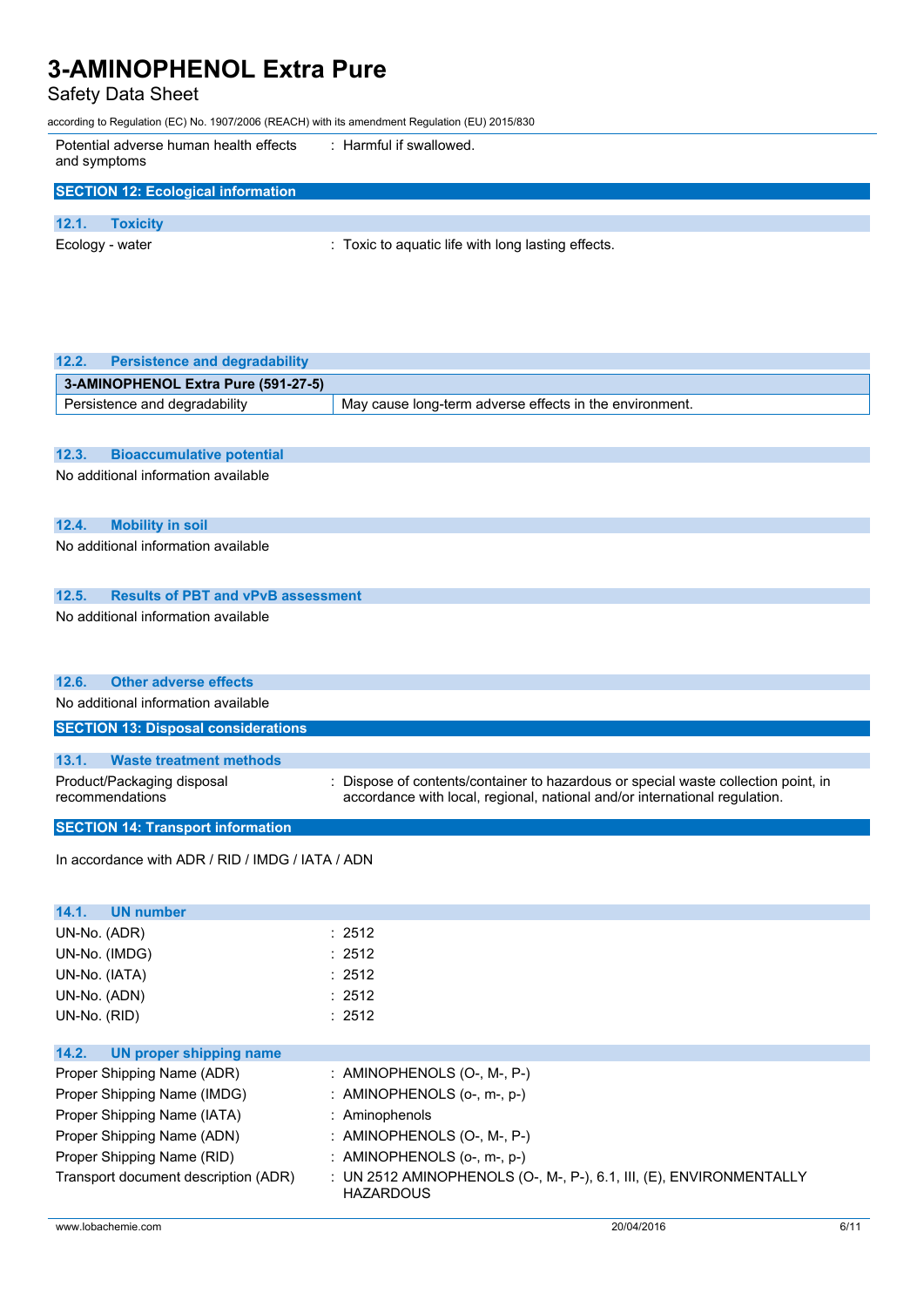### Safety Data Sheet

according to Regulation (EC) No. 1907/2006 (REACH) with its amendment Regulation (EU) 2015/830

| Potential adverse human health effects<br>and symptoms | : Harmful if swallowed.                            |
|--------------------------------------------------------|----------------------------------------------------|
| <b>SECTION 12: Ecological information</b>              |                                                    |
|                                                        |                                                    |
| 12.1.<br><b>Toxicity</b>                               |                                                    |
| Ecology - water                                        | : Toxic to aquatic life with long lasting effects. |

| 12.2.<br><b>Persistence and degradability</b>      |                                                                                         |
|----------------------------------------------------|-----------------------------------------------------------------------------------------|
| 3-AMINOPHENOL Extra Pure (591-27-5)                |                                                                                         |
| Persistence and degradability                      | May cause long-term adverse effects in the environment.                                 |
|                                                    |                                                                                         |
| 12.3.<br><b>Bioaccumulative potential</b>          |                                                                                         |
| No additional information available                |                                                                                         |
|                                                    |                                                                                         |
| 12.4.<br><b>Mobility in soil</b>                   |                                                                                         |
| No additional information available                |                                                                                         |
|                                                    |                                                                                         |
| <b>Results of PBT and vPvB assessment</b><br>12.5. |                                                                                         |
| No additional information available                |                                                                                         |
|                                                    |                                                                                         |
|                                                    |                                                                                         |
| <b>Other adverse effects</b><br>12.6.              |                                                                                         |
| No additional information available                |                                                                                         |
| <b>SECTION 13: Disposal considerations</b>         |                                                                                         |
| <b>Waste treatment methods</b><br>13.1.            |                                                                                         |
| Product/Packaging disposal                         | : Dispose of contents/container to hazardous or special waste collection point, in      |
| recommendations                                    | accordance with local, regional, national and/or international regulation.              |
| <b>SECTION 14: Transport information</b>           |                                                                                         |
|                                                    |                                                                                         |
| In accordance with ADR / RID / IMDG / IATA / ADN   |                                                                                         |
|                                                    |                                                                                         |
| 14.1.<br><b>UN number</b>                          |                                                                                         |
| UN-No. (ADR)                                       | : 2512                                                                                  |
| UN-No. (IMDG)                                      | : 2512                                                                                  |
| UN-No. (IATA)                                      | : 2512                                                                                  |
| UN-No. (ADN)                                       | : 2512                                                                                  |
| UN-No. (RID)                                       | : 2512                                                                                  |
| 14.2.<br><b>UN proper shipping name</b>            |                                                                                         |
| Proper Shipping Name (ADR)                         | AMINOPHENOLS (O-, M-, P-)                                                               |
| Proper Shipping Name (IMDG)                        | AMINOPHENOLS (o-, m-, p-)                                                               |
| Proper Shipping Name (IATA)                        | Aminophenols                                                                            |
| Proper Shipping Name (ADN)                         | : AMINOPHENOLS (O-, M-, P-)                                                             |
| Proper Shipping Name (RID)                         | : AMINOPHENOLS (o-, m-, p-)                                                             |
| Transport document description (ADR)               | : UN 2512 AMINOPHENOLS (O-, M-, P-), 6.1, III, (E), ENVIRONMENTALLY<br><b>HAZARDOUS</b> |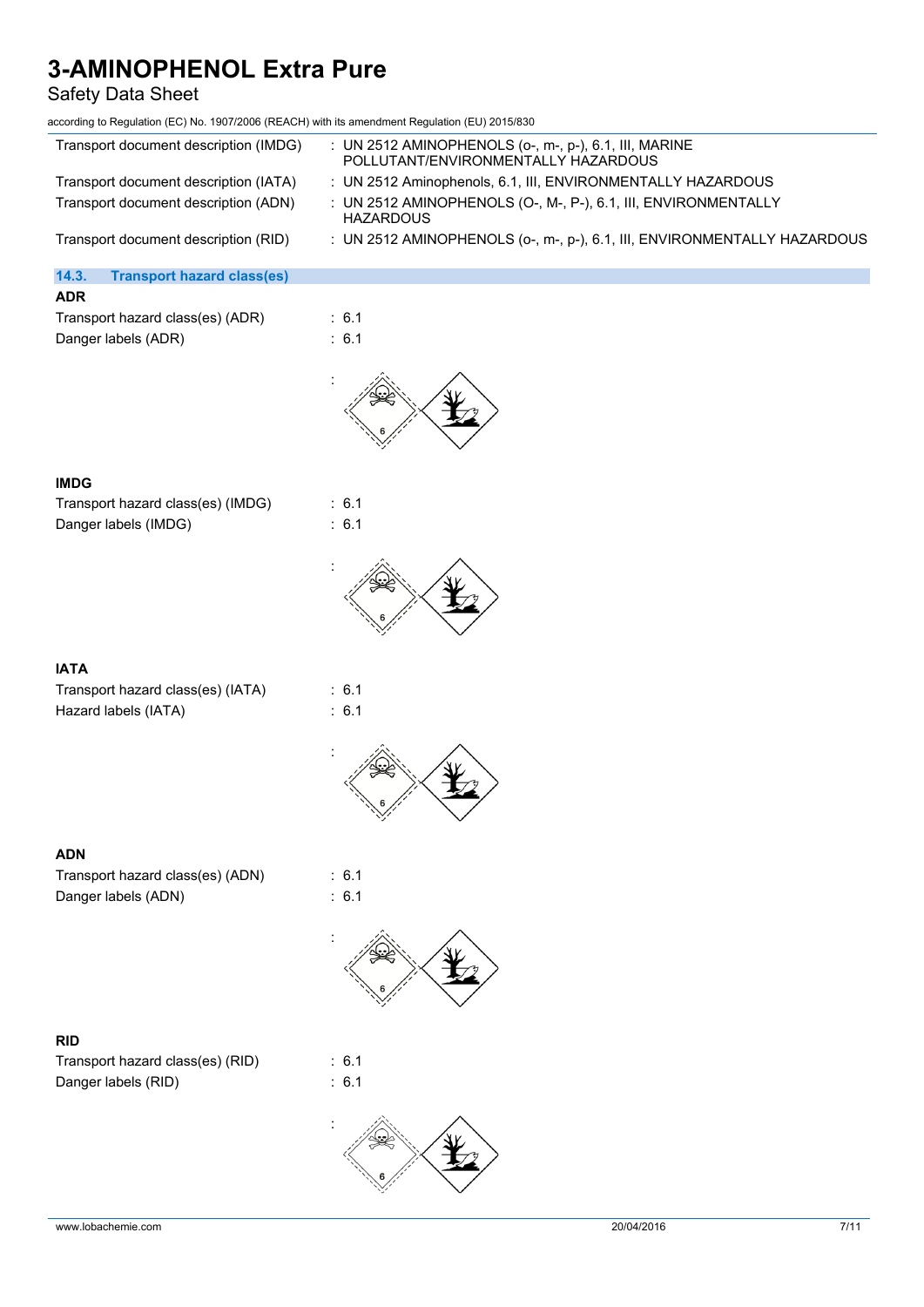### Safety Data Sheet

| according to Regulation (EC) No. 1907/2006 (REACH) with its amendment Regulation (EU) 2015/830 |                                                                                              |
|------------------------------------------------------------------------------------------------|----------------------------------------------------------------------------------------------|
| Transport document description (IMDG)                                                          | : UN 2512 AMINOPHENOLS (o-, m-, p-), 6.1, III, MARINE<br>POLLUTANT/ENVIRONMENTALLY HAZARDOUS |
| Transport document description (IATA)                                                          | : UN 2512 Aminophenols, 6.1, III, ENVIRONMENTALLY HAZARDOUS                                  |
| Transport document description (ADN)                                                           | : UN 2512 AMINOPHENOLS (O-, M-, P-), 6.1, III, ENVIRONMENTALLY<br><b>HAZARDOUS</b>           |
| Transport document description (RID)                                                           | : UN 2512 AMINOPHENOLS (o-, m-, p-), 6.1, III, ENVIRONMENTALLY HAZARDOUS                     |
| 14.3.<br><b>Transport hazard class(es)</b>                                                     |                                                                                              |
| <b>ADR</b>                                                                                     |                                                                                              |
| Transport hazard class(es) (ADR)                                                               | : 6.1                                                                                        |
| Danger labels (ADR)                                                                            | : 6.1                                                                                        |
|                                                                                                |                                                                                              |
| <b>IMDG</b>                                                                                    |                                                                                              |
| Transport hazard class(es) (IMDG)                                                              | : 6.1                                                                                        |
| Danger labels (IMDG)                                                                           | : 6.1                                                                                        |
|                                                                                                |                                                                                              |

### **IATA**

| Transport hazard class(es) (IATA) |  |
|-----------------------------------|--|
| Hazard labels (IATA)              |  |

 $\therefore$  6.1  $\therefore$  6.1



### **ADN**

Transport hazard class(es) (ADN) : 6.1 Danger labels (ADN) : 6.1

**RID** Transport hazard class(es) (RID) : 6.1 Danger labels (RID) : 6.1

:

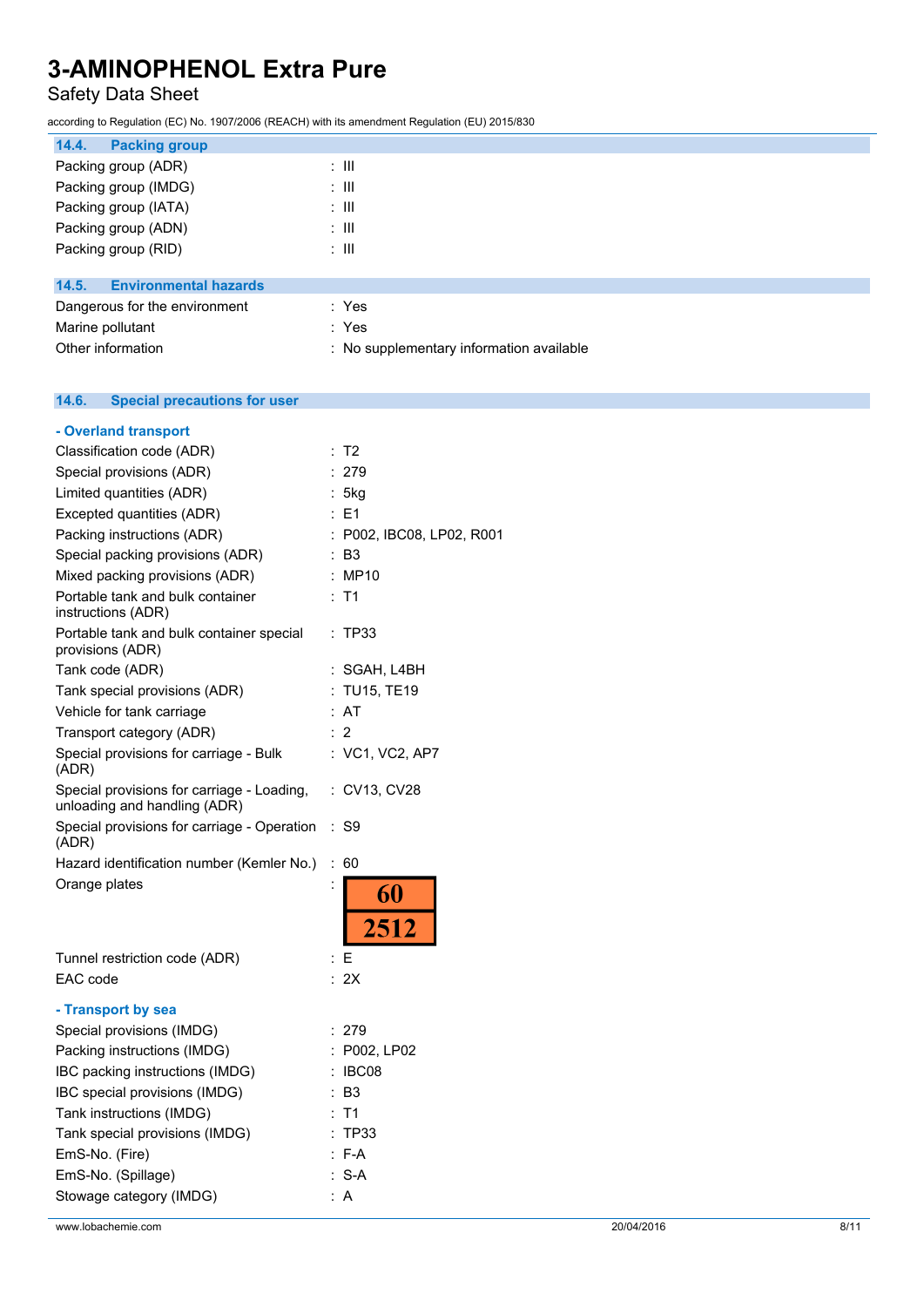## Safety Data Sheet

according to Regulation (EC) No. 1907/2006 (REACH) with its amendment Regulation (EU) 2015/830

| 14.4.<br><b>Packing group</b>         |       |
|---------------------------------------|-------|
| Packing group (ADR)                   | : III |
| Packing group (IMDG)                  | : III |
| Packing group (IATA)                  | ÷ III |
| Packing group (ADN)                   | ÷ III |
| Packing group (RID)                   | ÷ III |
|                                       |       |
| 14.5.<br><b>Environmental hazards</b> |       |
| Dangerous for the environment         | : Yes |
| Marine pollutant                      | : Yes |

|                | Marine politicant |  |  |
|----------------|-------------------|--|--|
| $\sim$ $\cdot$ |                   |  |  |

Other information **contact to the contact of the contact of the contact of the contact of the contact of the contact of the contact of the contact of the contact of the contact of the contact of the contact of the contact** 

#### 14.6. **14.6. Special precautions for user**

| - Overland transport                                                                                                                                                                                                                                                                |                                                                                                   |
|-------------------------------------------------------------------------------------------------------------------------------------------------------------------------------------------------------------------------------------------------------------------------------------|---------------------------------------------------------------------------------------------------|
| Classification code (ADR)                                                                                                                                                                                                                                                           | : T2                                                                                              |
| Special provisions (ADR)                                                                                                                                                                                                                                                            | : 279                                                                                             |
| Limited quantities (ADR)                                                                                                                                                                                                                                                            | : 5kg                                                                                             |
| Excepted quantities (ADR)                                                                                                                                                                                                                                                           | : E1                                                                                              |
| Packing instructions (ADR)                                                                                                                                                                                                                                                          | : P002, IBC08, LP02, R001                                                                         |
| Special packing provisions (ADR)                                                                                                                                                                                                                                                    | : B3                                                                                              |
| Mixed packing provisions (ADR)                                                                                                                                                                                                                                                      | : MP10                                                                                            |
| Portable tank and bulk container<br>instructions (ADR)                                                                                                                                                                                                                              | T1                                                                                                |
| Portable tank and bulk container special<br>provisions (ADR)                                                                                                                                                                                                                        | TP33<br>÷                                                                                         |
| Tank code (ADR)                                                                                                                                                                                                                                                                     | : SGAH, L4BH                                                                                      |
| Tank special provisions (ADR)                                                                                                                                                                                                                                                       | : TU15, TE19                                                                                      |
| Vehicle for tank carriage                                                                                                                                                                                                                                                           | : AT                                                                                              |
| Transport category (ADR)                                                                                                                                                                                                                                                            | : 2                                                                                               |
| Special provisions for carriage - Bulk<br>(ADR)                                                                                                                                                                                                                                     | : VC1, VC2, AP7                                                                                   |
| Special provisions for carriage - Loading,<br>unloading and handling (ADR)                                                                                                                                                                                                          | :CV13, CV28                                                                                       |
| Special provisions for carriage - Operation<br>(ADR)                                                                                                                                                                                                                                | : S9                                                                                              |
| Hazard identification number (Kemler No.)                                                                                                                                                                                                                                           | $\ddot{\phantom{a}}$<br>60                                                                        |
| Orange plates                                                                                                                                                                                                                                                                       | $\ddot{\cdot}$<br>60<br>2512                                                                      |
| Tunnel restriction code (ADR)                                                                                                                                                                                                                                                       | : E                                                                                               |
| EAC code                                                                                                                                                                                                                                                                            | : 2X                                                                                              |
| - Transport by sea<br>Special provisions (IMDG)<br>Packing instructions (IMDG)<br>IBC packing instructions (IMDG)<br>IBC special provisions (IMDG)<br>Tank instructions (IMDG)<br>Tank special provisions (IMDG)<br>EmS-No. (Fire)<br>EmS-No. (Spillage)<br>Stowage category (IMDG) | -279<br>: P002, LP02<br>: IBC08<br>: B3<br>T <sub>1</sub><br><b>TP33</b><br>$: F-A$<br>$S-A$<br>A |
|                                                                                                                                                                                                                                                                                     |                                                                                                   |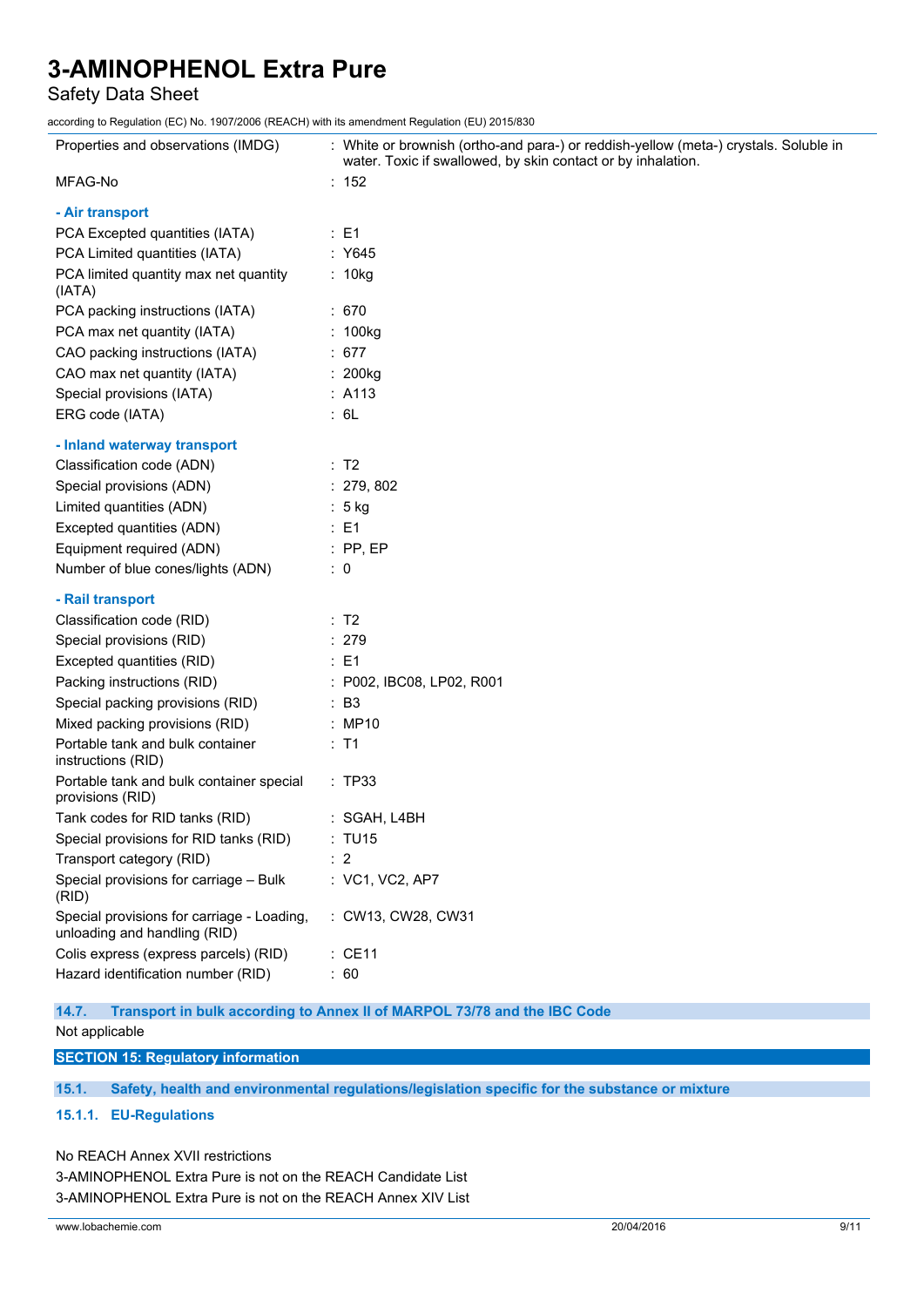### Safety Data Sheet

according to Regulation (EC) No. 1907/2006 (REACH) with its amendment Regulation (EU) 2015/830

| Properties and observations (IMDG)                                         | : White or brownish (ortho-and para-) or reddish-yellow (meta-) crystals. Soluble in<br>water. Toxic if swallowed, by skin contact or by inhalation. |
|----------------------------------------------------------------------------|------------------------------------------------------------------------------------------------------------------------------------------------------|
| MFAG-No                                                                    | : 152                                                                                                                                                |
| - Air transport                                                            |                                                                                                                                                      |
| PCA Excepted quantities (IATA)                                             | : E1                                                                                                                                                 |
| PCA Limited quantities (IATA)                                              | : Y645                                                                                                                                               |
| PCA limited quantity max net quantity<br>(IATA)                            | : 10kg                                                                                                                                               |
| PCA packing instructions (IATA)                                            | : 670                                                                                                                                                |
| PCA max net quantity (IATA)                                                | : 100kg                                                                                                                                              |
| CAO packing instructions (IATA)                                            | : 677                                                                                                                                                |
| CAO max net quantity (IATA)                                                | : 200kg                                                                                                                                              |
| Special provisions (IATA)                                                  | : A113                                                                                                                                               |
| ERG code (IATA)                                                            | : 6L                                                                                                                                                 |
| - Inland waterway transport                                                |                                                                                                                                                      |
| Classification code (ADN)                                                  | $\therefore$ T2                                                                                                                                      |
| Special provisions (ADN)                                                   | : 279, 802                                                                                                                                           |
| Limited quantities (ADN)                                                   | : 5 kg                                                                                                                                               |
| Excepted quantities (ADN)                                                  | $\therefore$ E1                                                                                                                                      |
| Equipment required (ADN)                                                   | $\therefore$ PP, EP                                                                                                                                  |
| Number of blue cones/lights (ADN)                                          | $\therefore$ 0                                                                                                                                       |
| - Rail transport                                                           |                                                                                                                                                      |
| Classification code (RID)                                                  | : T2                                                                                                                                                 |
| Special provisions (RID)                                                   | : 279                                                                                                                                                |
| Excepted quantities (RID)                                                  | $\therefore$ E1                                                                                                                                      |
| Packing instructions (RID)                                                 | : P002, IBC08, LP02, R001                                                                                                                            |
| Special packing provisions (RID)                                           | $\therefore$ B3                                                                                                                                      |
| Mixed packing provisions (RID)                                             | : MP10                                                                                                                                               |
| Portable tank and bulk container<br>instructions (RID)                     | $:$ T1                                                                                                                                               |
| Portable tank and bulk container special<br>provisions (RID)               | : TP33                                                                                                                                               |
| Tank codes for RID tanks (RID)                                             | SGAH, L4BH                                                                                                                                           |
| Special provisions for RID tanks (RID)                                     | : TU15                                                                                                                                               |
| Transport category (RID)                                                   | $\therefore$ 2                                                                                                                                       |
| Special provisions for carriage - Bulk<br>(RID)                            | : VC1, VC2, AP7                                                                                                                                      |
| Special provisions for carriage - Loading,<br>unloading and handling (RID) | : CW13, CW28, CW31                                                                                                                                   |
| Colis express (express parcels) (RID)                                      | : CE11                                                                                                                                               |
| Hazard identification number (RID)                                         | : 60                                                                                                                                                 |

**14.7. Transport in bulk according to Annex II of MARPOL 73/78 and the IBC Code**

Not applicable

**SECTION 15: Regulatory information**

**15.1. Safety, health and environmental regulations/legislation specific for the substance or mixture**

#### **15.1.1. EU-Regulations**

No REACH Annex XVII restrictions

3-AMINOPHENOL Extra Pure is not on the REACH Candidate List 3-AMINOPHENOL Extra Pure is not on the REACH Annex XIV List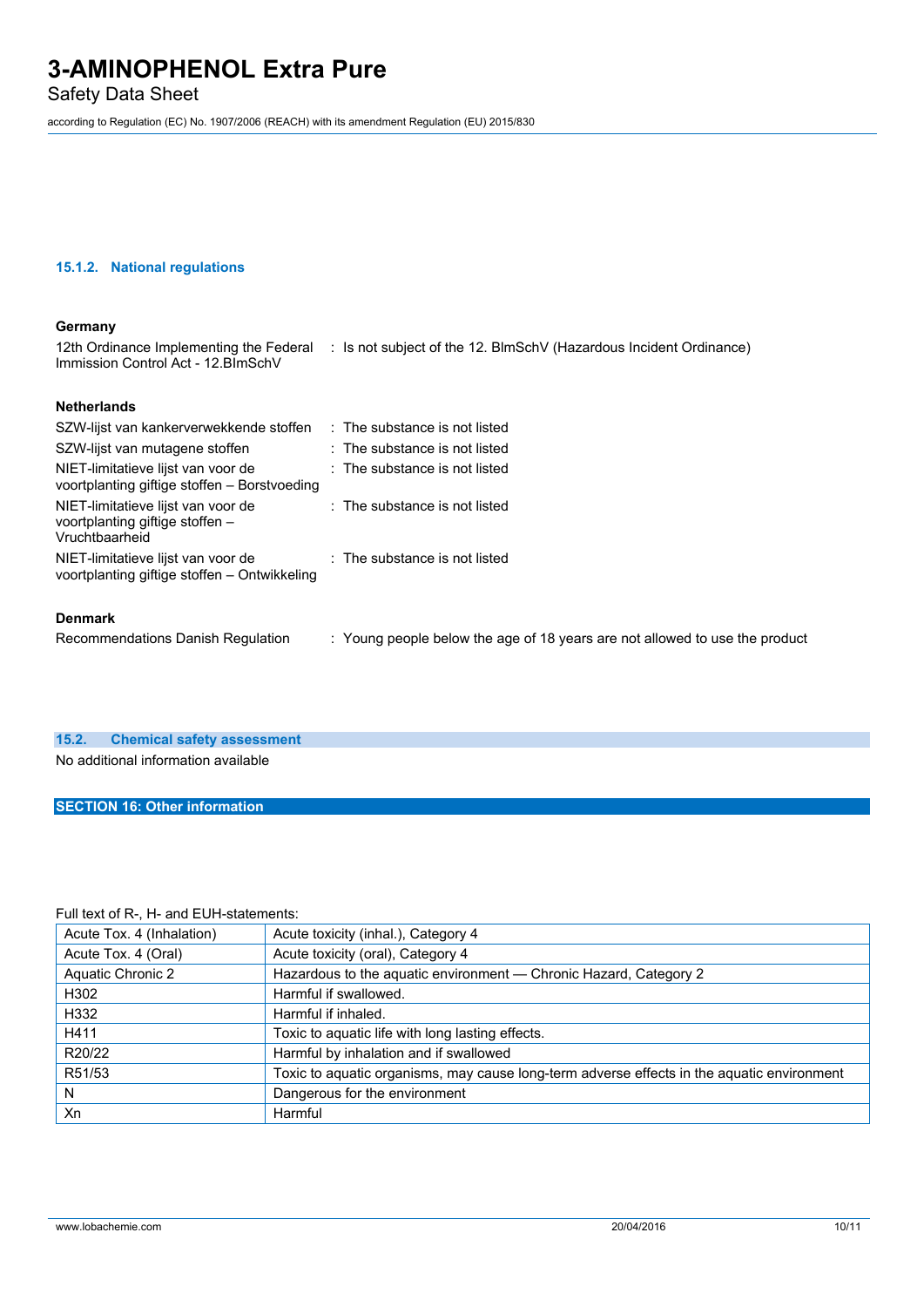Safety Data Sheet

according to Regulation (EC) No. 1907/2006 (REACH) with its amendment Regulation (EU) 2015/830

#### **15.1.2. National regulations**

#### **Germany**

12th Ordinance Implementing the Federal : Is not subject of the 12. BlmSchV (Hazardous Incident Ordinance) Immission Control Act - 12.BImSchV

#### **Netherlands**

| SZW-lijst van kankerverwekkende stoffen                                                 | $\therefore$ The substance is not listed                                    |
|-----------------------------------------------------------------------------------------|-----------------------------------------------------------------------------|
| SZW-lijst van mutagene stoffen                                                          | : The substance is not listed                                               |
| NIET-limitatieve lijst van voor de<br>voortplanting giftige stoffen – Borstvoeding      | : The substance is not listed                                               |
| NIET-limitatieve lijst van voor de<br>voortplanting giftige stoffen –<br>Vruchtbaarheid | : The substance is not listed                                               |
| NIET-limitatieve lijst van voor de<br>voortplanting giftige stoffen - Ontwikkeling      | : The substance is not listed                                               |
| <b>Denmark</b>                                                                          |                                                                             |
| Recommendations Danish Regulation                                                       | : Young people below the age of 18 years are not allowed to use the product |

# **15.2. Chemical safety assessment**

No additional information available

#### **SECTION 16: Other information**

#### Full text of R-, H- and EUH-statements:

| Acute Tox. 4 (Inhalation) | Acute toxicity (inhal.), Category 4                                                        |
|---------------------------|--------------------------------------------------------------------------------------------|
| Acute Tox. 4 (Oral)       | Acute toxicity (oral), Category 4                                                          |
| <b>Aquatic Chronic 2</b>  | Hazardous to the aquatic environment - Chronic Hazard, Category 2                          |
| H302                      | Harmful if swallowed.                                                                      |
| H332                      | Harmful if inhaled.                                                                        |
| H411                      | Toxic to aquatic life with long lasting effects.                                           |
| R20/22                    | Harmful by inhalation and if swallowed                                                     |
| R51/53                    | Toxic to aquatic organisms, may cause long-term adverse effects in the aquatic environment |
| N                         | Dangerous for the environment                                                              |
| Xn                        | Harmful                                                                                    |